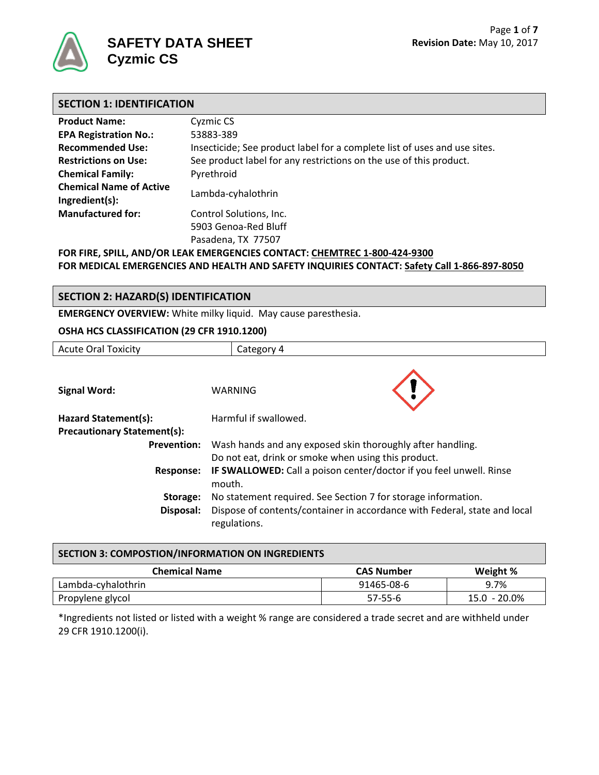

# **SAFETY DATA SHEET Cyzmic CS**

| <b>SECTION 1: IDENTIFICATION</b> |                                                                           |  |  |
|----------------------------------|---------------------------------------------------------------------------|--|--|
| <b>Product Name:</b>             | Cyzmic CS                                                                 |  |  |
| <b>EPA Registration No.:</b>     | 53883-389                                                                 |  |  |
| <b>Recommended Use:</b>          | Insecticide; See product label for a complete list of uses and use sites. |  |  |
| <b>Restrictions on Use:</b>      | See product label for any restrictions on the use of this product.        |  |  |
| <b>Chemical Family:</b>          | Pyrethroid                                                                |  |  |

**Chemical Name of Active Ingredient(s):** Lambda-cyhalothrin

**Manufactured for:** Control Solutions, Inc. 5903 Genoa-Red Bluff Pasadena, TX 77507

**FOR FIRE, SPILL, AND/OR LEAK EMERGENCIES CONTACT: CHEMTREC 1-800-424-9300 FOR MEDICAL EMERGENCIES AND HEALTH AND SAFETY INQUIRIES CONTACT: Safety Call 1-866-897-8050**

# **SECTION 2: HAZARD(S) IDENTIFICATION**

**EMERGENCY OVERVIEW:** White milky liquid. May cause paresthesia.

#### **OSHA HCS CLASSIFICATION (29 CFR 1910.1200)**

| <b>Acute Oral Toxicity</b>         | Category 4                                                                                |  |
|------------------------------------|-------------------------------------------------------------------------------------------|--|
|                                    |                                                                                           |  |
| <b>Signal Word:</b>                | WARNING                                                                                   |  |
| Hazard Statement(s):               | Harmful if swallowed.                                                                     |  |
| <b>Precautionary Statement(s):</b> |                                                                                           |  |
| <b>Prevention:</b>                 | Wash hands and any exposed skin thoroughly after handling.                                |  |
|                                    | Do not eat, drink or smoke when using this product.                                       |  |
| Response:                          | IF SWALLOWED: Call a poison center/doctor if you feel unwell. Rinse<br>mouth.             |  |
| Storage:                           | No statement required. See Section 7 for storage information.                             |  |
| Disposal:                          | Dispose of contents/container in accordance with Federal, state and local<br>regulations. |  |

| SECTION 3: COMPOSTION/INFORMATION ON INGREDIENTS |                   |              |  |  |
|--------------------------------------------------|-------------------|--------------|--|--|
| <b>Chemical Name</b>                             | <b>CAS Number</b> | Weight %     |  |  |
| Lambda-cyhalothrin                               | 91465-08-6        | 9.7%         |  |  |
| Propylene glycol                                 | 57-55-6           | 15.0 - 20.0% |  |  |

\*Ingredients not listed or listed with a weight % range are considered a trade secret and are withheld under 29 CFR 1910.1200(i).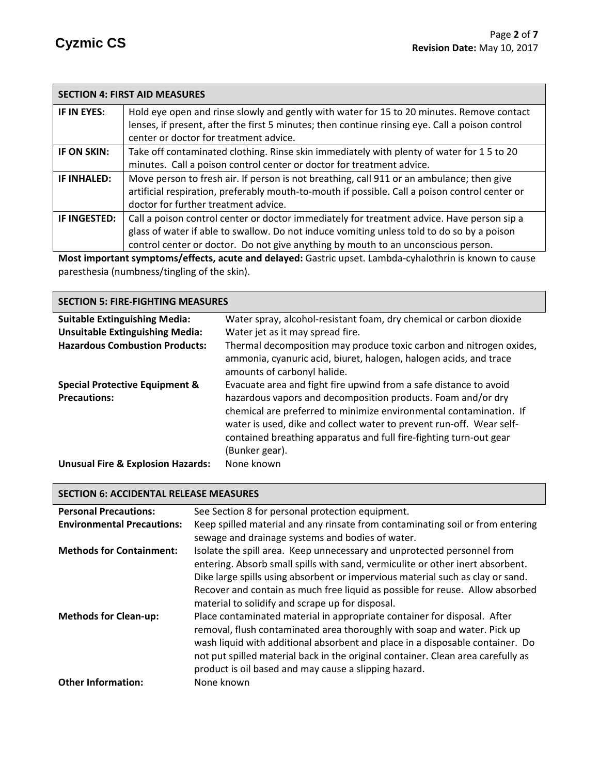|                                                                                                         | <b>SECTION 4: FIRST AID MEASURES</b>                                                            |  |
|---------------------------------------------------------------------------------------------------------|-------------------------------------------------------------------------------------------------|--|
| IF IN EYES:                                                                                             | Hold eye open and rinse slowly and gently with water for 15 to 20 minutes. Remove contact       |  |
|                                                                                                         | lenses, if present, after the first 5 minutes; then continue rinsing eye. Call a poison control |  |
|                                                                                                         | center or doctor for treatment advice.                                                          |  |
| IF ON SKIN:                                                                                             | Take off contaminated clothing. Rinse skin immediately with plenty of water for 15 to 20        |  |
|                                                                                                         | minutes. Call a poison control center or doctor for treatment advice.                           |  |
| IF INHALED:                                                                                             | Move person to fresh air. If person is not breathing, call 911 or an ambulance; then give       |  |
|                                                                                                         | artificial respiration, preferably mouth-to-mouth if possible. Call a poison control center or  |  |
|                                                                                                         | doctor for further treatment advice.                                                            |  |
| IF INGESTED:                                                                                            | Call a poison control center or doctor immediately for treatment advice. Have person sip a      |  |
|                                                                                                         | glass of water if able to swallow. Do not induce vomiting unless told to do so by a poison      |  |
|                                                                                                         | control center or doctor. Do not give anything by mouth to an unconscious person.               |  |
| Mest important symptoms leffects, on to and delayed; Castric unset Lambda sybolothrip is known to squee |                                                                                                 |  |

**Most important symptoms/effects, acute and delayed:** Gastric upset. Lambda-cyhalothrin is known to cause paresthesia (numbness/tingling of the skin).

| <b>SECTION 5: FIRE-FIGHTING MEASURES</b>                         |                                                                                                                                                                                                                                                                                                                                                                         |  |  |  |
|------------------------------------------------------------------|-------------------------------------------------------------------------------------------------------------------------------------------------------------------------------------------------------------------------------------------------------------------------------------------------------------------------------------------------------------------------|--|--|--|
| <b>Suitable Extinguishing Media:</b>                             | Water spray, alcohol-resistant foam, dry chemical or carbon dioxide                                                                                                                                                                                                                                                                                                     |  |  |  |
| <b>Unsuitable Extinguishing Media:</b>                           | Water jet as it may spread fire.                                                                                                                                                                                                                                                                                                                                        |  |  |  |
| <b>Hazardous Combustion Products:</b>                            | Thermal decomposition may produce toxic carbon and nitrogen oxides,<br>ammonia, cyanuric acid, biuret, halogen, halogen acids, and trace<br>amounts of carbonyl halide.                                                                                                                                                                                                 |  |  |  |
| <b>Special Protective Equipment &amp;</b><br><b>Precautions:</b> | Evacuate area and fight fire upwind from a safe distance to avoid<br>hazardous vapors and decomposition products. Foam and/or dry<br>chemical are preferred to minimize environmental contamination. If<br>water is used, dike and collect water to prevent run-off. Wear self-<br>contained breathing apparatus and full fire-fighting turn-out gear<br>(Bunker gear). |  |  |  |
| <b>Unusual Fire &amp; Explosion Hazards:</b>                     | None known                                                                                                                                                                                                                                                                                                                                                              |  |  |  |

# **SECTION 6: ACCIDENTAL RELEASE MEASURES**

| <b>Personal Precautions:</b>      | See Section 8 for personal protection equipment.                                                                                                                                                                                                                                                                                                                                   |
|-----------------------------------|------------------------------------------------------------------------------------------------------------------------------------------------------------------------------------------------------------------------------------------------------------------------------------------------------------------------------------------------------------------------------------|
| <b>Environmental Precautions:</b> | Keep spilled material and any rinsate from contaminating soil or from entering                                                                                                                                                                                                                                                                                                     |
|                                   | sewage and drainage systems and bodies of water.                                                                                                                                                                                                                                                                                                                                   |
| <b>Methods for Containment:</b>   | Isolate the spill area. Keep unnecessary and unprotected personnel from<br>entering. Absorb small spills with sand, vermiculite or other inert absorbent.<br>Dike large spills using absorbent or impervious material such as clay or sand.<br>Recover and contain as much free liquid as possible for reuse. Allow absorbed<br>material to solidify and scrape up for disposal.   |
| <b>Methods for Clean-up:</b>      | Place contaminated material in appropriate container for disposal. After<br>removal, flush contaminated area thoroughly with soap and water. Pick up<br>wash liquid with additional absorbent and place in a disposable container. Do<br>not put spilled material back in the original container. Clean area carefully as<br>product is oil based and may cause a slipping hazard. |
| <b>Other Information:</b>         | None known                                                                                                                                                                                                                                                                                                                                                                         |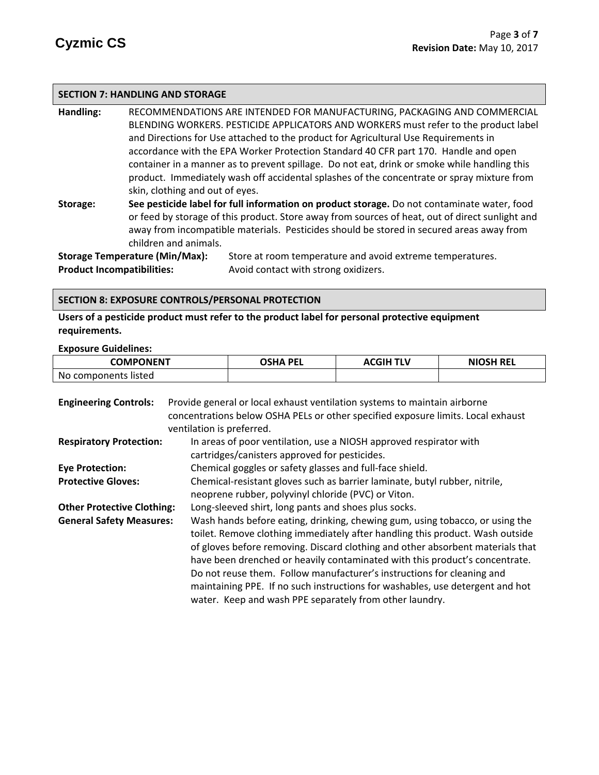#### **SECTION 7: HANDLING AND STORAGE**

**Handling:** RECOMMENDATIONS ARE INTENDED FOR MANUFACTURING, PACKAGING AND COMMERCIAL BLENDING WORKERS. PESTICIDE APPLICATORS AND WORKERS must refer to the product label and Directions for Use attached to the product for Agricultural Use Requirements in accordance with the EPA Worker Protection Standard 40 CFR part 170.Handle and open container in a manner as to prevent spillage. Do not eat, drink or smoke while handling this product. Immediately wash off accidental splashes of the concentrate or spray mixture from skin, clothing and out of eyes.

**Storage: See pesticide label for full information on product storage.** Do not contaminate water, food or feed by storage of this product. Store away from sources of heat, out of direct sunlight and away from incompatible materials. Pesticides should be stored in secured areas away from children and animals.

**Product Incompatibilities:** Avoid contact with strong oxidizers.

**Storage Temperature (Min/Max):** Store at room temperature and avoid extreme temperatures.

#### **SECTION 8: EXPOSURE CONTROLS/PERSONAL PROTECTION**

**Users of a pesticide product must refer to the product label for personal protective equipment requirements.**

**Exposure Guidelines:**

| <b>COMPONENT</b>     | <b>OSHA PEL</b> | <b>ACGIH TLV</b> | <b>NIOSH REL</b> |
|----------------------|-----------------|------------------|------------------|
| No components listed |                 |                  |                  |

| <b>Engineering Controls:</b>      | Provide general or local exhaust ventilation systems to maintain airborne        |  |  |  |
|-----------------------------------|----------------------------------------------------------------------------------|--|--|--|
|                                   | concentrations below OSHA PELs or other specified exposure limits. Local exhaust |  |  |  |
|                                   | ventilation is preferred.                                                        |  |  |  |
| <b>Respiratory Protection:</b>    | In areas of poor ventilation, use a NIOSH approved respirator with               |  |  |  |
|                                   | cartridges/canisters approved for pesticides.                                    |  |  |  |
| <b>Eye Protection:</b>            | Chemical goggles or safety glasses and full-face shield.                         |  |  |  |
| <b>Protective Gloves:</b>         | Chemical-resistant gloves such as barrier laminate, butyl rubber, nitrile,       |  |  |  |
|                                   | neoprene rubber, polyvinyl chloride (PVC) or Viton.                              |  |  |  |
| <b>Other Protective Clothing:</b> | Long-sleeved shirt, long pants and shoes plus socks.                             |  |  |  |
| <b>General Safety Measures:</b>   | Wash hands before eating, drinking, chewing gum, using tobacco, or using the     |  |  |  |
|                                   | toilet. Remove clothing immediately after handling this product. Wash outside    |  |  |  |
|                                   | of gloves before removing. Discard clothing and other absorbent materials that   |  |  |  |
|                                   | have been drenched or heavily contaminated with this product's concentrate.      |  |  |  |
|                                   | Do not reuse them. Follow manufacturer's instructions for cleaning and           |  |  |  |
|                                   | maintaining PPE. If no such instructions for washables, use detergent and hot    |  |  |  |
|                                   | water. Keep and wash PPE separately from other laundry.                          |  |  |  |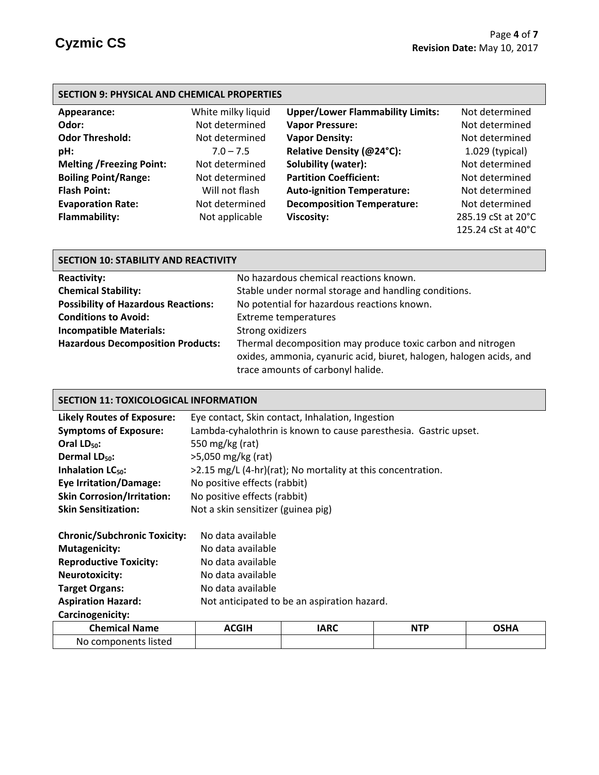## **SECTION 9: PHYSICAL AND CHEMICAL PROPERTIES**

| Appearance:                     | White milky liquid | <b>Upper/Lower Flammability Limits:</b> | Not determined     |
|---------------------------------|--------------------|-----------------------------------------|--------------------|
| Odor:                           | Not determined     | <b>Vapor Pressure:</b>                  | Not determined     |
| <b>Odor Threshold:</b>          | Not determined     | <b>Vapor Density:</b>                   | Not determined     |
| pH:                             | $7.0 - 7.5$        | Relative Density (@24°C):               | $1.029$ (typical)  |
| <b>Melting /Freezing Point:</b> | Not determined     | Solubility (water):                     | Not determined     |
| <b>Boiling Point/Range:</b>     | Not determined     | <b>Partition Coefficient:</b>           | Not determined     |
| <b>Flash Point:</b>             | Will not flash     | <b>Auto-ignition Temperature:</b>       | Not determined     |
| <b>Evaporation Rate:</b>        | Not determined     | <b>Decomposition Temperature:</b>       | Not determined     |
| <b>Flammability:</b>            | Not applicable     | <b>Viscosity:</b>                       | 285.19 cSt at 20°C |
|                                 |                    |                                         | 125.24 cSt at 40°C |

| <b>SECTION 10: STABILITY AND REACTIVITY</b> |                                                                     |  |  |  |
|---------------------------------------------|---------------------------------------------------------------------|--|--|--|
| <b>Reactivity:</b>                          | No hazardous chemical reactions known.                              |  |  |  |
| <b>Chemical Stability:</b>                  | Stable under normal storage and handling conditions.                |  |  |  |
| <b>Possibility of Hazardous Reactions:</b>  | No potential for hazardous reactions known.                         |  |  |  |
| <b>Conditions to Avoid:</b>                 | <b>Extreme temperatures</b>                                         |  |  |  |
| <b>Incompatible Materials:</b>              | Strong oxidizers                                                    |  |  |  |
| <b>Hazardous Decomposition Products:</b>    | Thermal decomposition may produce toxic carbon and nitrogen         |  |  |  |
|                                             | oxides, ammonia, cyanuric acid, biuret, halogen, halogen acids, and |  |  |  |
|                                             | trace amounts of carbonyl halide.                                   |  |  |  |

### **SECTION 11: TOXICOLOGICAL INFORMATION**

| <b>Likely Routes of Exposure:</b>   | Eye contact, Skin contact, Inhalation, Ingestion                 |  |  |  |
|-------------------------------------|------------------------------------------------------------------|--|--|--|
| <b>Symptoms of Exposure:</b>        | Lambda-cyhalothrin is known to cause paresthesia. Gastric upset. |  |  |  |
| Oral $LD_{50}$ :                    | 550 mg/kg (rat)                                                  |  |  |  |
| Dermal $LD_{50}$ :                  | >5,050 mg/kg (rat)                                               |  |  |  |
| Inhalation $LC_{50}$ :              | >2.15 mg/L (4-hr)(rat); No mortality at this concentration.      |  |  |  |
| <b>Eye Irritation/Damage:</b>       | No positive effects (rabbit)                                     |  |  |  |
| <b>Skin Corrosion/Irritation:</b>   | No positive effects (rabbit)                                     |  |  |  |
| <b>Skin Sensitization:</b>          | Not a skin sensitizer (guinea pig)                               |  |  |  |
| <b>Chronic/Subchronic Toxicity:</b> | No data available                                                |  |  |  |
| <b>Mutagenicity:</b>                | No data available                                                |  |  |  |
| <b>Reproductive Toxicity:</b>       | No data available                                                |  |  |  |

**Neurotoxicity:** No data available Target Organs: No data available

**Aspiration Hazard:** Not anticipated to be an aspiration hazard.

**Carcinogenicity:**

| <b>Chemical Name</b> | <b>CGIH</b> | IARC | <b>NTP</b> | ດເ⊔∧ |
|----------------------|-------------|------|------------|------|
|                      | A           |      |            | пж   |
| No components listed |             |      |            |      |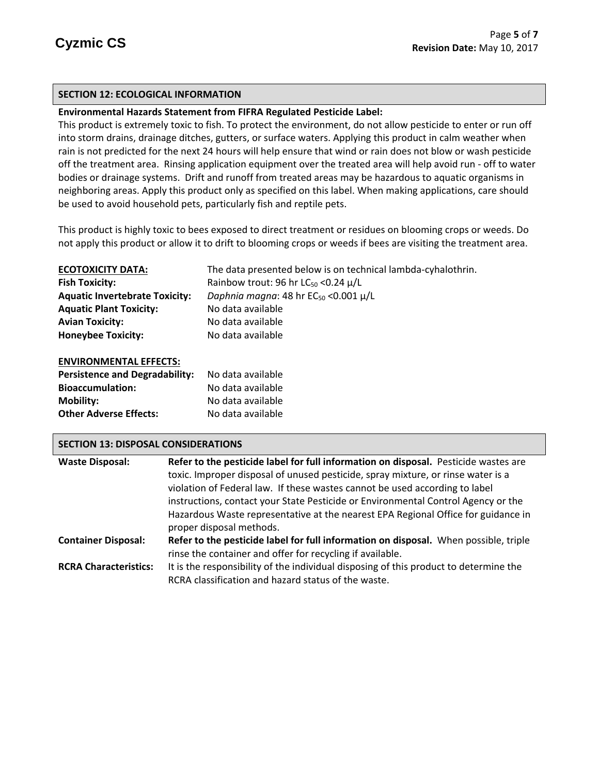## **SECTION 12: ECOLOGICAL INFORMATION**

### **Environmental Hazards Statement from FIFRA Regulated Pesticide Label:**

This product is extremely toxic to fish. To protect the environment, do not allow pesticide to enter or run off into storm drains, drainage ditches, gutters, or surface waters. Applying this product in calm weather when rain is not predicted for the next 24 hours will help ensure that wind or rain does not blow or wash pesticide off the treatment area. Rinsing application equipment over the treated area will help avoid run - off to water bodies or drainage systems. Drift and runoff from treated areas may be hazardous to aquatic organisms in neighboring areas. Apply this product only as specified on this label. When making applications, care should be used to avoid household pets, particularly fish and reptile pets.

This product is highly toxic to bees exposed to direct treatment or residues on blooming crops or weeds. Do not apply this product or allow it to drift to blooming crops or weeds if bees are visiting the treatment area.

| <b>ECOTOXICITY DATA:</b>              | The data presented below is on technical lambda-cyhalothrin. |
|---------------------------------------|--------------------------------------------------------------|
| <b>Fish Toxicity:</b>                 | Rainbow trout: 96 hr LC <sub>50</sub> < 0.24 $\mu$ /L        |
| <b>Aquatic Invertebrate Toxicity:</b> | Daphnia magna: 48 hr $EC_{50}$ <0.001 $\mu/L$                |
| <b>Aquatic Plant Toxicity:</b>        | No data available                                            |
| <b>Avian Toxicity:</b>                | No data available                                            |
| <b>Honeybee Toxicity:</b>             | No data available                                            |
| <b>ENVIRONMENTAL EFFECTS:</b>         |                                                              |

| <b>Persistence and Degradability:</b> | No data available |
|---------------------------------------|-------------------|
| <b>Bioaccumulation:</b>               | No data available |
| <b>Mobility:</b>                      | No data available |
| <b>Other Adverse Effects:</b>         | No data available |

#### **SECTION 13: DISPOSAL CONSIDERATIONS**

| <b>Waste Disposal:</b>       | Refer to the pesticide label for full information on disposal. Pesticide wastes are   |
|------------------------------|---------------------------------------------------------------------------------------|
|                              | toxic. Improper disposal of unused pesticide, spray mixture, or rinse water is a      |
|                              | violation of Federal law. If these wastes cannot be used according to label           |
|                              | instructions, contact your State Pesticide or Environmental Control Agency or the     |
|                              | Hazardous Waste representative at the nearest EPA Regional Office for guidance in     |
|                              | proper disposal methods.                                                              |
| <b>Container Disposal:</b>   | Refer to the pesticide label for full information on disposal. When possible, triple  |
|                              | rinse the container and offer for recycling if available.                             |
| <b>RCRA Characteristics:</b> | It is the responsibility of the individual disposing of this product to determine the |
|                              | RCRA classification and hazard status of the waste.                                   |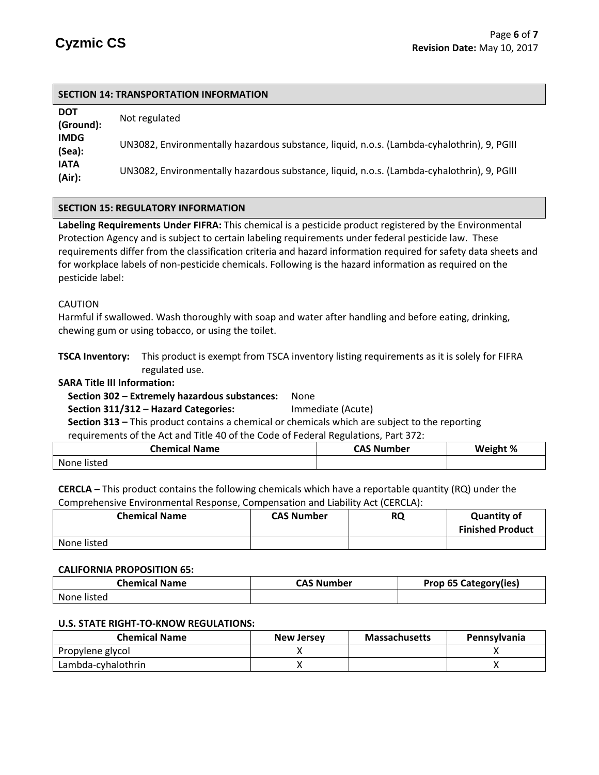| <b>SECTION 14: TRANSPORTATION INFORMATION</b> |                                                                                            |  |  |
|-----------------------------------------------|--------------------------------------------------------------------------------------------|--|--|
| <b>DOT</b><br>(Ground):                       | Not regulated                                                                              |  |  |
| <b>IMDG</b><br>(Sea):                         | UN3082, Environmentally hazardous substance, liquid, n.o.s. (Lambda-cyhalothrin), 9, PGIII |  |  |
| <b>IATA</b><br>(Air):                         | UN3082, Environmentally hazardous substance, liquid, n.o.s. (Lambda-cyhalothrin), 9, PGIII |  |  |

## **SECTION 15: REGULATORY INFORMATION**

**Labeling Requirements Under FIFRA:** This chemical is a pesticide product registered by the Environmental Protection Agency and is subject to certain labeling requirements under federal pesticide law. These requirements differ from the classification criteria and hazard information required for safety data sheets and for workplace labels of non-pesticide chemicals. Following is the hazard information as required on the pesticide label:

#### CAUTION

Harmful if swallowed. Wash thoroughly with soap and water after handling and before eating, drinking, chewing gum or using tobacco, or using the toilet.

**TSCA Inventory:** This product is exempt from TSCA inventory listing requirements as it is solely for FIFRA regulated use.

#### **SARA Title III Information:**

# **Section 302 – Extremely hazardous substances:** None

 **Section 311/312** – **Hazard Categories:** Immediate (Acute)

 **Section 313 –** This product contains a chemical or chemicals which are subject to the reporting

requirements of the Act and Title 40 of the Code of Federal Regulations, Part 372:

| Chemical Name | <b>CAS Number</b> | Weight % |
|---------------|-------------------|----------|
| None listed   |                   |          |

**CERCLA –** This product contains the following chemicals which have a reportable quantity (RQ) under the Comprehensive Environmental Response, Compensation and Liability Act (CERCLA):

| <b>Chemical Name</b> | <b>CAS Number</b> | <b>RQ</b> | <b>Quantity of</b><br><b>Finished Product</b> |
|----------------------|-------------------|-----------|-----------------------------------------------|
| None listed          |                   |           |                                               |

#### **CALIFORNIA PROPOSITION 65:**

| <b>Chemical Name</b> | <b>CAS Number</b> | <b>Prop 65 Category(ies)</b> |
|----------------------|-------------------|------------------------------|
| None listed          |                   |                              |

#### **U.S. STATE RIGHT-TO-KNOW REGULATIONS:**

| <b>Chemical Name</b> | New Jersey | <b>Massachusetts</b> | <b>Pennsylvania</b> |
|----------------------|------------|----------------------|---------------------|
| Propylene glycol     |            |                      |                     |
| Lambda-cyhalothrin   |            |                      |                     |